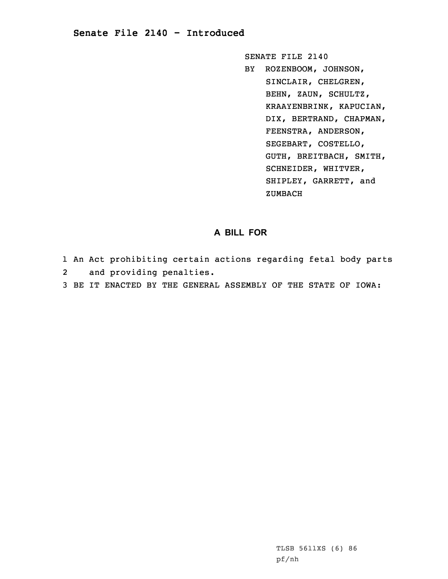## **Senate File 2140 - Introduced**

SENATE FILE 2140 BY ROZENBOOM, JOHNSON, SINCLAIR, CHELGREN, BEHN, ZAUN, SCHULTZ, KRAAYENBRINK, KAPUCIAN, DIX, BERTRAND, CHAPMAN, FEENSTRA, ANDERSON, SEGEBART, COSTELLO, GUTH, BREITBACH, SMITH, SCHNEIDER, WHITVER, SHIPLEY, GARRETT, and ZUMBACH

## **A BILL FOR**

- 1 An Act prohibiting certain actions regarding fetal body parts 2and providing penalties.
- 3 BE IT ENACTED BY THE GENERAL ASSEMBLY OF THE STATE OF IOWA: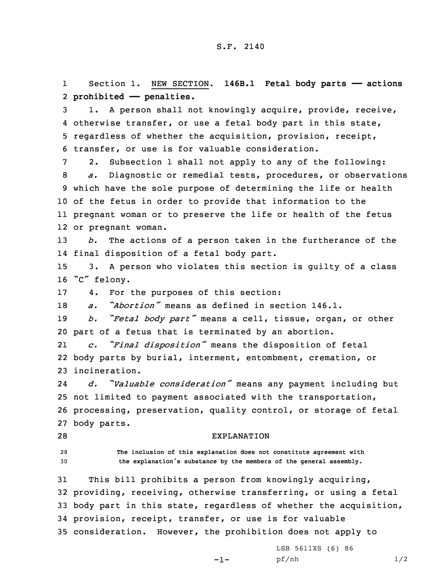1 Section 1. NEW SECTION. **146B.1 Fetal body parts —— actions** 2 **prohibited —— penalties.**

 1. <sup>A</sup> person shall not knowingly acquire, provide, receive, otherwise transfer, or use <sup>a</sup> fetal body part in this state, regardless of whether the acquisition, provision, receipt, transfer, or use is for valuable consideration.

 2. Subsection 1 shall not apply to any of the following: *a.* Diagnostic or remedial tests, procedures, or observations which have the sole purpose of determining the life or health of the fetus in order to provide that information to the pregnant woman or to preserve the life or health of the fetus or pregnant woman.

13 *b.* The actions of <sup>a</sup> person taken in the furtherance of the 14 final disposition of <sup>a</sup> fetal body part.

15 3. <sup>A</sup> person who violates this section is guilty of <sup>a</sup> class <sup>16</sup> "C" felony.

17 4. For the purposes of this section:

18 *a. "Abortion"* means as defined in section 146.1.

<sup>19</sup> *b. "Fetal body part"* means <sup>a</sup> cell, tissue, organ, or other 20 part of <sup>a</sup> fetus that is terminated by an abortion.

21 *c. "Final disposition"* means the disposition of fetal 22 body parts by burial, interment, entombment, cremation, or 23 incineration.

24 *d. "Valuable consideration"* means any payment including but 25 not limited to payment associated with the transportation, 26 processing, preservation, quality control, or storage of fetal 27 body parts.

## 28 EXPLANATION

29 **The inclusion of this explanation does not constitute agreement with** <sup>30</sup> **the explanation's substance by the members of the general assembly.**

 This bill prohibits <sup>a</sup> person from knowingly acquiring, providing, receiving, otherwise transferring, or using <sup>a</sup> fetal body part in this state, regardless of whether the acquisition, provision, receipt, transfer, or use is for valuable consideration. However, the prohibition does not apply to

-1-

LSB 5611XS (6) 86 pf/nh 1/2